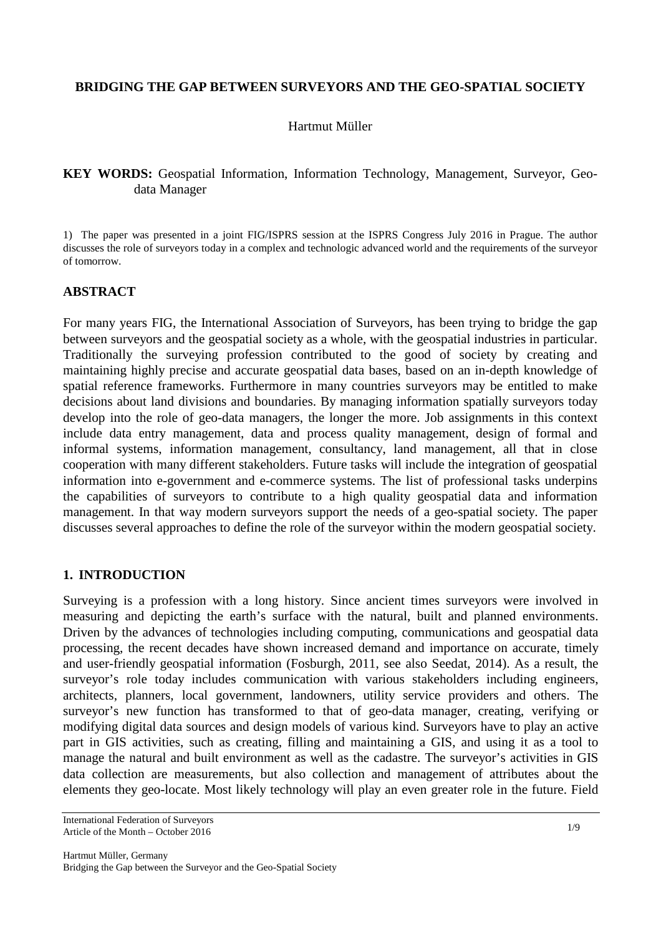#### **BRIDGING THE GAP BETWEEN SURVEYORS AND THE GEO-SPATIAL SOCIETY**

#### Hartmut Müller

## **KEY WORDS:** Geospatial Information, Information Technology, Management, Surveyor, Geodata Manager

1) The paper was presented in a joint FIG/ISPRS session at the ISPRS Congress July 2016 in Prague. The author discusses the role of surveyors today in a complex and technologic advanced world and the requirements of the surveyor of tomorrow.

# **ABSTRACT**

For many years FIG, the International Association of Surveyors, has been trying to bridge the gap between surveyors and the geospatial society as a whole, with the geospatial industries in particular. Traditionally the surveying profession contributed to the good of society by creating and maintaining highly precise and accurate geospatial data bases, based on an in-depth knowledge of spatial reference frameworks. Furthermore in many countries surveyors may be entitled to make decisions about land divisions and boundaries. By managing information spatially surveyors today develop into the role of geo-data managers, the longer the more. Job assignments in this context include data entry management, data and process quality management, design of formal and informal systems, information management, consultancy, land management, all that in close cooperation with many different stakeholders. Future tasks will include the integration of geospatial information into e-government and e-commerce systems. The list of professional tasks underpins the capabilities of surveyors to contribute to a high quality geospatial data and information management. In that way modern surveyors support the needs of a geo-spatial society. The paper discusses several approaches to define the role of the surveyor within the modern geospatial society.

## **1. INTRODUCTION**

Surveying is a profession with a long history. Since ancient times surveyors were involved in measuring and depicting the earth's surface with the natural, built and planned environments. Driven by the advances of technologies including computing, communications and geospatial data processing, the recent decades have shown increased demand and importance on accurate, timely and user-friendly geospatial information (Fosburgh, 2011, see also Seedat, 2014). As a result, the surveyor's role today includes communication with various stakeholders including engineers, architects, planners, local government, landowners, utility service providers and others. The surveyor's new function has transformed to that of geo-data manager, creating, verifying or modifying digital data sources and design models of various kind. Surveyors have to play an active part in GIS activities, such as creating, filling and maintaining a GIS, and using it as a tool to manage the natural and built environment as well as the cadastre. The surveyor's activities in GIS data collection are measurements, but also collection and management of attributes about the elements they geo-locate. Most likely technology will play an even greater role in the future. Field

International Federation of Surveyors Article of the Month – October 2016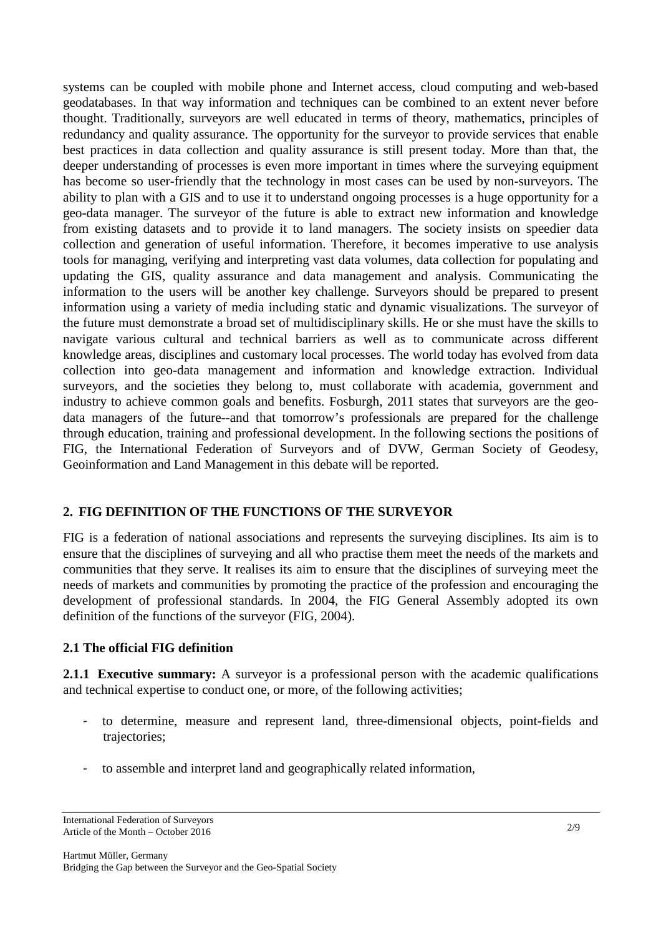systems can be coupled with mobile phone and Internet access, cloud computing and web-based geodatabases. In that way information and techniques can be combined to an extent never before thought. Traditionally, surveyors are well educated in terms of theory, mathematics, principles of redundancy and quality assurance. The opportunity for the surveyor to provide services that enable best practices in data collection and quality assurance is still present today. More than that, the deeper understanding of processes is even more important in times where the surveying equipment has become so user-friendly that the technology in most cases can be used by non-surveyors. The ability to plan with a GIS and to use it to understand ongoing processes is a huge opportunity for a geo-data manager. The surveyor of the future is able to extract new information and knowledge from existing datasets and to provide it to land managers. The society insists on speedier data collection and generation of useful information. Therefore, it becomes imperative to use analysis tools for managing, verifying and interpreting vast data volumes, data collection for populating and updating the GIS, quality assurance and data management and analysis. Communicating the information to the users will be another key challenge. Surveyors should be prepared to present information using a variety of media including static and dynamic visualizations. The surveyor of the future must demonstrate a broad set of multidisciplinary skills. He or she must have the skills to navigate various cultural and technical barriers as well as to communicate across different knowledge areas, disciplines and customary local processes. The world today has evolved from data collection into geo-data management and information and knowledge extraction. Individual surveyors, and the societies they belong to, must collaborate with academia, government and industry to achieve common goals and benefits. Fosburgh, 2011 states that surveyors are the geodata managers of the future--and that tomorrow's professionals are prepared for the challenge through education, training and professional development. In the following sections the positions of FIG, the International Federation of Surveyors and of DVW, German Society of Geodesy, Geoinformation and Land Management in this debate will be reported.

## **2. FIG DEFINITION OF THE FUNCTIONS OF THE SURVEYOR**

FIG is a federation of national associations and represents the surveying disciplines. Its aim is to ensure that the disciplines of surveying and all who practise them meet the needs of the markets and communities that they serve. It realises its aim to ensure that the disciplines of surveying meet the needs of markets and communities by promoting the practice of the profession and encouraging the development of professional standards. In 2004, the FIG General Assembly adopted its own definition of the functions of the surveyor (FIG, 2004).

#### **2.1 The official FIG definition**

**2.1.1 Executive summary:** A surveyor is a professional person with the academic qualifications and technical expertise to conduct one, or more, of the following activities;

- to determine, measure and represent land, three-dimensional objects, point-fields and trajectories;
- to assemble and interpret land and geographically related information,

International Federation of Surveyors Article of the Month – October 2016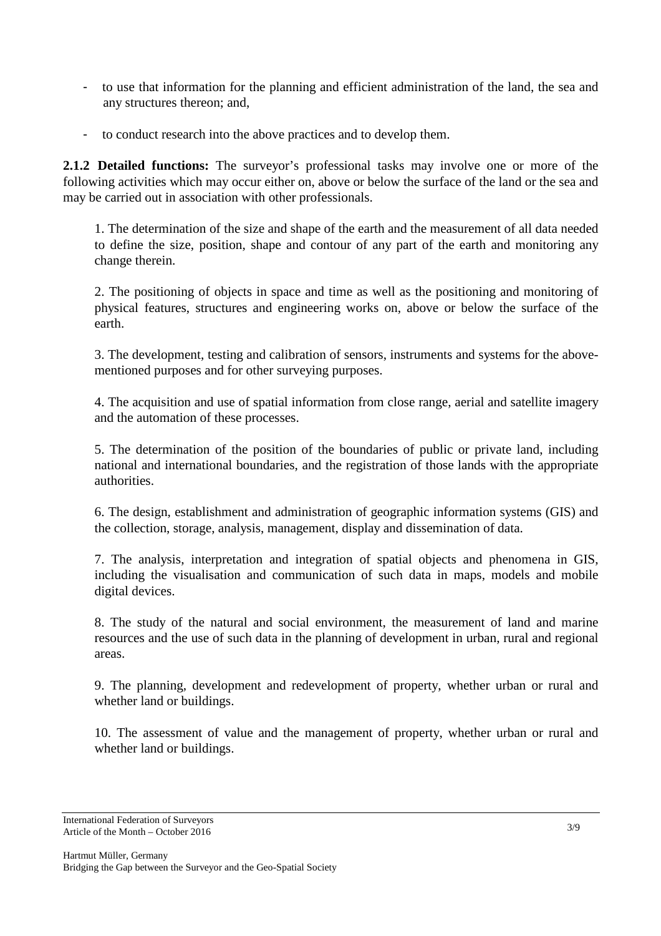- to use that information for the planning and efficient administration of the land, the sea and any structures thereon; and,
- to conduct research into the above practices and to develop them.

**2.1.2 Detailed functions:** The surveyor's professional tasks may involve one or more of the following activities which may occur either on, above or below the surface of the land or the sea and may be carried out in association with other professionals.

1. The determination of the size and shape of the earth and the measurement of all data needed to define the size, position, shape and contour of any part of the earth and monitoring any change therein.

2. The positioning of objects in space and time as well as the positioning and monitoring of physical features, structures and engineering works on, above or below the surface of the earth.

3. The development, testing and calibration of sensors, instruments and systems for the abovementioned purposes and for other surveying purposes.

4. The acquisition and use of spatial information from close range, aerial and satellite imagery and the automation of these processes.

5. The determination of the position of the boundaries of public or private land, including national and international boundaries, and the registration of those lands with the appropriate authorities.

6. The design, establishment and administration of geographic information systems (GIS) and the collection, storage, analysis, management, display and dissemination of data.

7. The analysis, interpretation and integration of spatial objects and phenomena in GIS, including the visualisation and communication of such data in maps, models and mobile digital devices.

8. The study of the natural and social environment, the measurement of land and marine resources and the use of such data in the planning of development in urban, rural and regional areas.

9. The planning, development and redevelopment of property, whether urban or rural and whether land or buildings.

10. The assessment of value and the management of property, whether urban or rural and whether land or buildings.

International Federation of Surveyors Article of the Month – October 2016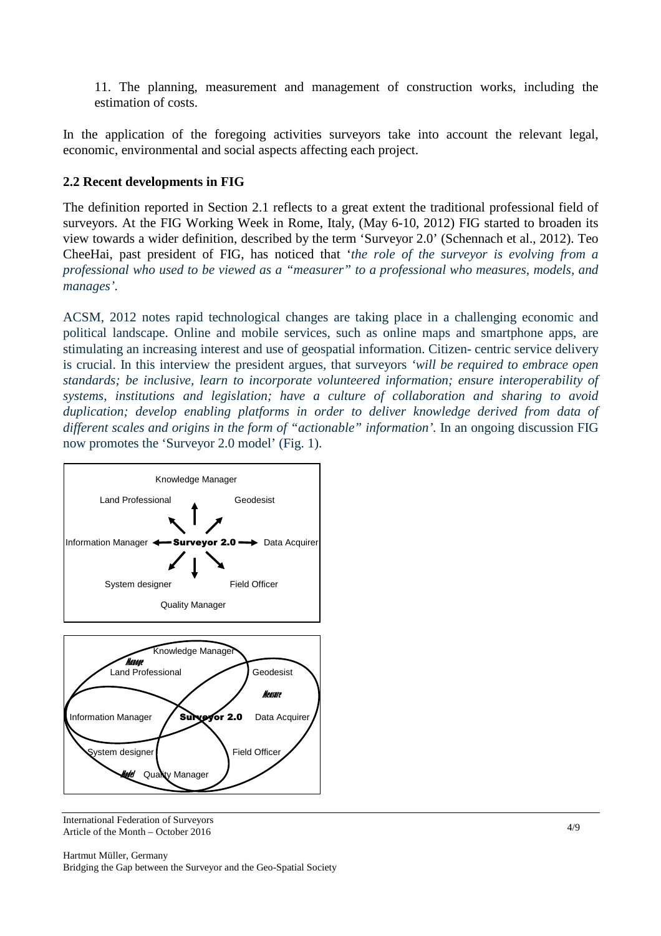11. The planning, measurement and management of construction works, including the estimation of costs.

In the application of the foregoing activities surveyors take into account the relevant legal, economic, environmental and social aspects affecting each project.

## **2.2 Recent developments in FIG**

The definition reported in Section 2.1 reflects to a great extent the traditional professional field of surveyors. At the FIG Working Week in Rome, Italy, (May 6-10, 2012) FIG started to broaden its view towards a wider definition, described by the term 'Surveyor 2.0' (Schennach et al., 2012). Teo CheeHai, past president of FIG, has noticed that '*the role of the surveyor is evolving from a professional who used to be viewed as a "measurer" to a professional who measures, models, and manages'.* 

ACSM, 2012 notes rapid technological changes are taking place in a challenging economic and political landscape. Online and mobile services, such as online maps and smartphone apps, are stimulating an increasing interest and use of geospatial information. Citizen- centric service delivery is crucial. In this interview the president argues, that surveyors *'will be required to embrace open standards; be inclusive, learn to incorporate volunteered information; ensure interoperability of systems, institutions and legislation; have a culture of collaboration and sharing to avoid duplication; develop enabling platforms in order to deliver knowledge derived from data of*  different scales and origins in the form of "actionable" information'. In an ongoing discussion FIG now promotes the 'Surveyor 2.0 model' (Fig. 1).



International Federation of Surveyors Article of the Month – October 2016

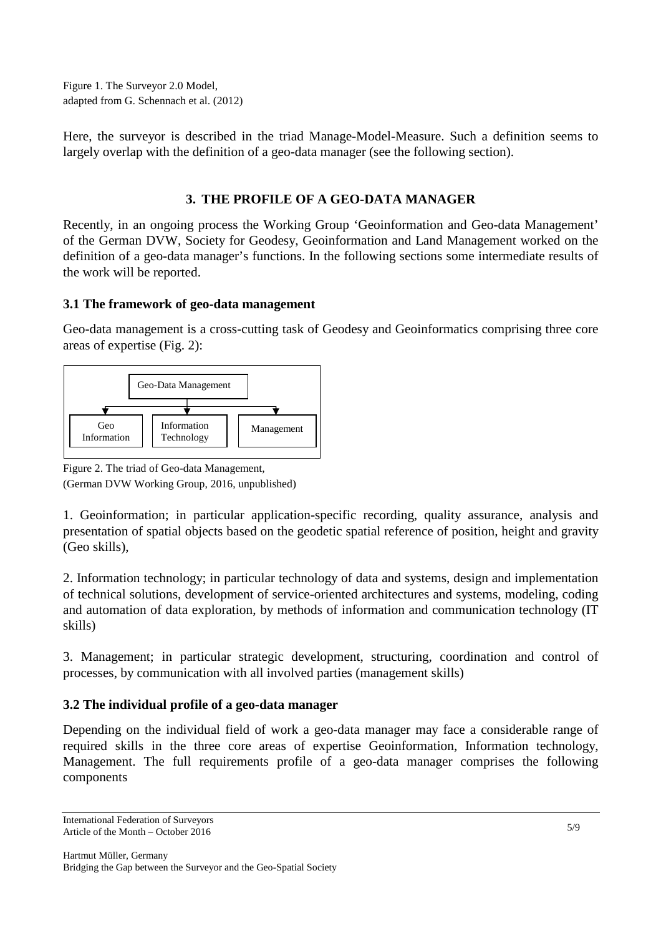Figure 1. The Surveyor 2.0 Model, adapted from G. Schennach et al. (2012)

Here, the surveyor is described in the triad Manage-Model-Measure. Such a definition seems to largely overlap with the definition of a geo-data manager (see the following section).

# **3. THE PROFILE OF A GEO-DATA MANAGER**

Recently, in an ongoing process the Working Group 'Geoinformation and Geo-data Management' of the German DVW, Society for Geodesy, Geoinformation and Land Management worked on the definition of a geo-data manager's functions. In the following sections some intermediate results of the work will be reported.

## **3.1 The framework of geo-data management**

Geo-data management is a cross-cutting task of Geodesy and Geoinformatics comprising three core areas of expertise (Fig. 2):



Figure 2. The triad of Geo-data Management,

(German DVW Working Group, 2016, unpublished)

1. Geoinformation; in particular application-specific recording, quality assurance, analysis and presentation of spatial objects based on the geodetic spatial reference of position, height and gravity (Geo skills),

2. Information technology; in particular technology of data and systems, design and implementation of technical solutions, development of service-oriented architectures and systems, modeling, coding and automation of data exploration, by methods of information and communication technology (IT skills)

3. Management; in particular strategic development, structuring, coordination and control of processes, by communication with all involved parties (management skills)

# **3.2 The individual profile of a geo-data manager**

Depending on the individual field of work a geo-data manager may face a considerable range of required skills in the three core areas of expertise Geoinformation, Information technology, Management. The full requirements profile of a geo-data manager comprises the following components

International Federation of Surveyors Article of the Month – October 2016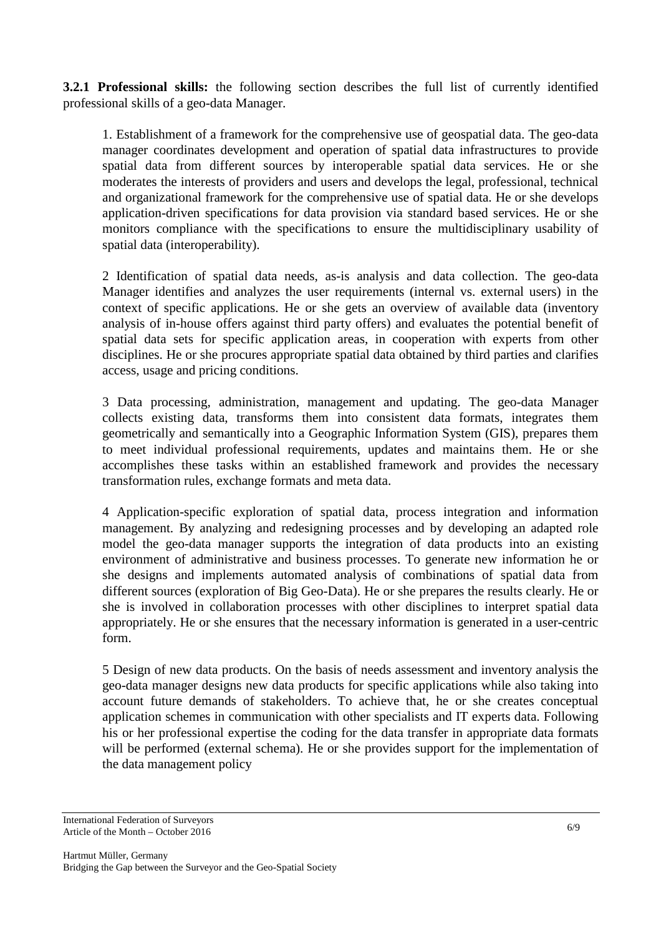**3.2.1 Professional skills:** the following section describes the full list of currently identified professional skills of a geo-data Manager.

1. Establishment of a framework for the comprehensive use of geospatial data. The geo-data manager coordinates development and operation of spatial data infrastructures to provide spatial data from different sources by interoperable spatial data services. He or she moderates the interests of providers and users and develops the legal, professional, technical and organizational framework for the comprehensive use of spatial data. He or she develops application-driven specifications for data provision via standard based services. He or she monitors compliance with the specifications to ensure the multidisciplinary usability of spatial data (interoperability).

2 Identification of spatial data needs, as-is analysis and data collection. The geo-data Manager identifies and analyzes the user requirements (internal vs. external users) in the context of specific applications. He or she gets an overview of available data (inventory analysis of in-house offers against third party offers) and evaluates the potential benefit of spatial data sets for specific application areas, in cooperation with experts from other disciplines. He or she procures appropriate spatial data obtained by third parties and clarifies access, usage and pricing conditions.

3 Data processing, administration, management and updating. The geo-data Manager collects existing data, transforms them into consistent data formats, integrates them geometrically and semantically into a Geographic Information System (GIS), prepares them to meet individual professional requirements, updates and maintains them. He or she accomplishes these tasks within an established framework and provides the necessary transformation rules, exchange formats and meta data.

4 Application-specific exploration of spatial data, process integration and information management. By analyzing and redesigning processes and by developing an adapted role model the geo-data manager supports the integration of data products into an existing environment of administrative and business processes. To generate new information he or she designs and implements automated analysis of combinations of spatial data from different sources (exploration of Big Geo-Data). He or she prepares the results clearly. He or she is involved in collaboration processes with other disciplines to interpret spatial data appropriately. He or she ensures that the necessary information is generated in a user-centric form.

5 Design of new data products. On the basis of needs assessment and inventory analysis the geo-data manager designs new data products for specific applications while also taking into account future demands of stakeholders. To achieve that, he or she creates conceptual application schemes in communication with other specialists and IT experts data. Following his or her professional expertise the coding for the data transfer in appropriate data formats will be performed (external schema). He or she provides support for the implementation of the data management policy

International Federation of Surveyors Article of the Month – October 2016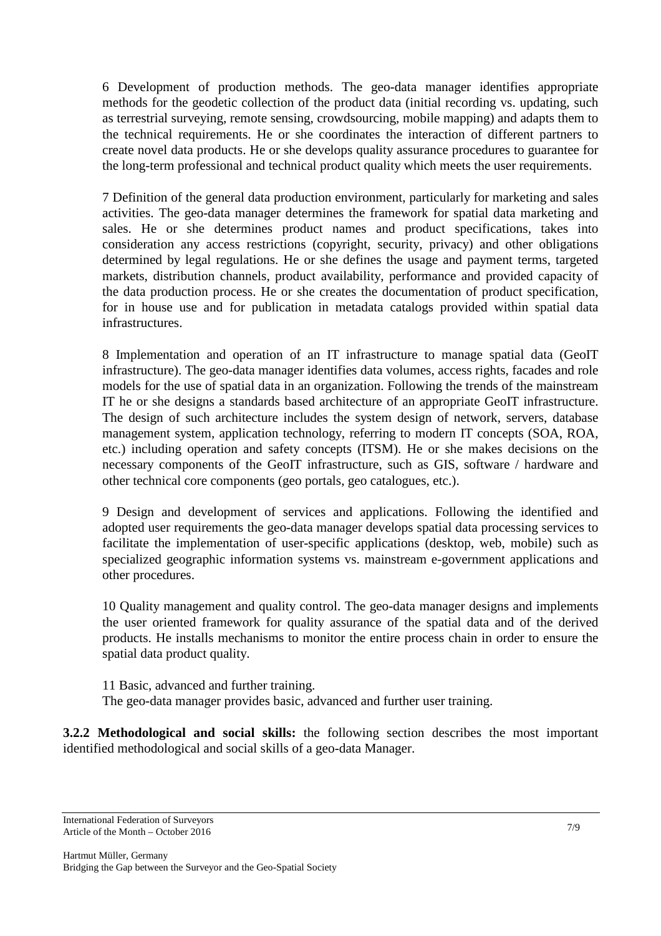6 Development of production methods. The geo-data manager identifies appropriate methods for the geodetic collection of the product data (initial recording vs. updating, such as terrestrial surveying, remote sensing, crowdsourcing, mobile mapping) and adapts them to the technical requirements. He or she coordinates the interaction of different partners to create novel data products. He or she develops quality assurance procedures to guarantee for the long-term professional and technical product quality which meets the user requirements.

7 Definition of the general data production environment, particularly for marketing and sales activities. The geo-data manager determines the framework for spatial data marketing and sales. He or she determines product names and product specifications, takes into consideration any access restrictions (copyright, security, privacy) and other obligations determined by legal regulations. He or she defines the usage and payment terms, targeted markets, distribution channels, product availability, performance and provided capacity of the data production process. He or she creates the documentation of product specification, for in house use and for publication in metadata catalogs provided within spatial data infrastructures.

8 Implementation and operation of an IT infrastructure to manage spatial data (GeoIT infrastructure). The geo-data manager identifies data volumes, access rights, facades and role models for the use of spatial data in an organization. Following the trends of the mainstream IT he or she designs a standards based architecture of an appropriate GeoIT infrastructure. The design of such architecture includes the system design of network, servers, database management system, application technology, referring to modern IT concepts (SOA, ROA, etc.) including operation and safety concepts (ITSM). He or she makes decisions on the necessary components of the GeoIT infrastructure, such as GIS, software / hardware and other technical core components (geo portals, geo catalogues, etc.).

9 Design and development of services and applications. Following the identified and adopted user requirements the geo-data manager develops spatial data processing services to facilitate the implementation of user-specific applications (desktop, web, mobile) such as specialized geographic information systems vs. mainstream e-government applications and other procedures.

10 Quality management and quality control. The geo-data manager designs and implements the user oriented framework for quality assurance of the spatial data and of the derived products. He installs mechanisms to monitor the entire process chain in order to ensure the spatial data product quality.

11 Basic, advanced and further training. The geo-data manager provides basic, advanced and further user training.

**3.2.2 Methodological and social skills:** the following section describes the most important identified methodological and social skills of a geo-data Manager.

International Federation of Surveyors Article of the Month – October 2016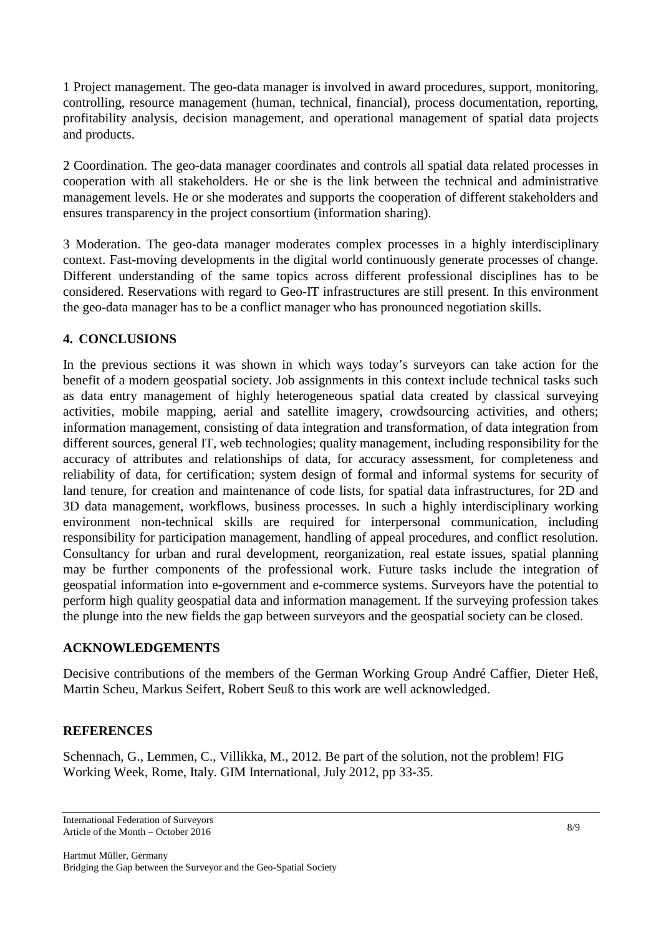1 Project management. The geo-data manager is involved in award procedures, support, monitoring, controlling, resource management (human, technical, financial), process documentation, reporting, profitability analysis, decision management, and operational management of spatial data projects and products.

2 Coordination. The geo-data manager coordinates and controls all spatial data related processes in cooperation with all stakeholders. He or she is the link between the technical and administrative management levels. He or she moderates and supports the cooperation of different stakeholders and ensures transparency in the project consortium (information sharing).

3 Moderation. The geo-data manager moderates complex processes in a highly interdisciplinary context. Fast-moving developments in the digital world continuously generate processes of change. Different understanding of the same topics across different professional disciplines has to be considered. Reservations with regard to Geo-IT infrastructures are still present. In this environment the geo-data manager has to be a conflict manager who has pronounced negotiation skills.

# **4. CONCLUSIONS**

In the previous sections it was shown in which ways today's surveyors can take action for the benefit of a modern geospatial society. Job assignments in this context include technical tasks such as data entry management of highly heterogeneous spatial data created by classical surveying activities, mobile mapping, aerial and satellite imagery, crowdsourcing activities, and others; information management, consisting of data integration and transformation, of data integration from different sources, general IT, web technologies; quality management, including responsibility for the accuracy of attributes and relationships of data, for accuracy assessment, for completeness and reliability of data, for certification; system design of formal and informal systems for security of land tenure, for creation and maintenance of code lists, for spatial data infrastructures, for 2D and 3D data management, workflows, business processes. In such a highly interdisciplinary working environment non-technical skills are required for interpersonal communication, including responsibility for participation management, handling of appeal procedures, and conflict resolution. Consultancy for urban and rural development, reorganization, real estate issues, spatial planning may be further components of the professional work. Future tasks include the integration of geospatial information into e-government and e-commerce systems. Surveyors have the potential to perform high quality geospatial data and information management. If the surveying profession takes the plunge into the new fields the gap between surveyors and the geospatial society can be closed.

## **ACKNOWLEDGEMENTS**

Decisive contributions of the members of the German Working Group André Caffier, Dieter Heß, Martin Scheu, Markus Seifert, Robert Seuß to this work are well acknowledged.

## **REFERENCES**

Schennach, G., Lemmen, C., Villikka, M., 2012. Be part of the solution, not the problem! FIG Working Week, Rome, Italy. GIM International, July 2012, pp 33-35.

Hartmut Müller, Germany Bridging the Gap between the Surveyor and the Geo-Spatial Society

International Federation of Surveyors Article of the Month – October 2016